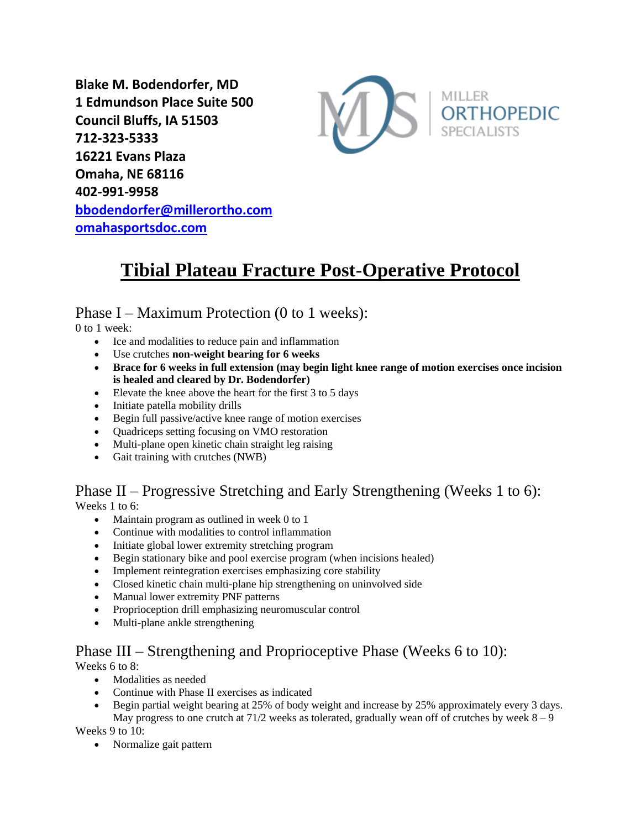**Blake M. Bodendorfer, MD 1 Edmundson Place Suite 500 Council Bluffs, IA 51503 712-323-5333 16221 Evans Plaza Omaha, NE 68116 402-991-9958 [bbodendorfer@millerortho.com](mailto:bbodendorfer@millerortho.com) [omahasportsdoc.com](http://www.omahasportsdoc.com/)**



# **Tibial Plateau Fracture Post-Operative Protocol**

#### Phase I – Maximum Protection (0 to 1 weeks):

0 to 1 week:

- Ice and modalities to reduce pain and inflammation
- Use crutches **non-weight bearing for 6 weeks**
- **Brace for 6 weeks in full extension (may begin light knee range of motion exercises once incision is healed and cleared by Dr. Bodendorfer)**
- Elevate the knee above the heart for the first 3 to 5 days
- Initiate patella mobility drills
- Begin full passive/active knee range of motion exercises
- Quadriceps setting focusing on VMO restoration
- Multi-plane open kinetic chain straight leg raising
- Gait training with crutches (NWB)

## Phase II – Progressive Stretching and Early Strengthening (Weeks 1 to 6):

Weeks 1 to 6:

- Maintain program as outlined in week 0 to 1
- Continue with modalities to control inflammation
- Initiate global lower extremity stretching program
- Begin stationary bike and pool exercise program (when incisions healed)
- Implement reintegration exercises emphasizing core stability
- Closed kinetic chain multi-plane hip strengthening on uninvolved side
- Manual lower extremity PNF patterns
- Proprioception drill emphasizing neuromuscular control
- Multi-plane ankle strengthening

#### Phase III – Strengthening and Proprioceptive Phase (Weeks 6 to 10):

Weeks 6 to 8:

- Modalities as needed
- Continue with Phase II exercises as indicated
- Begin partial weight bearing at 25% of body weight and increase by 25% approximately every 3 days. May progress to one crutch at  $71/2$  weeks as tolerated, gradually wean off of crutches by week  $8 - 9$

Weeks 9 to 10:

• Normalize gait pattern